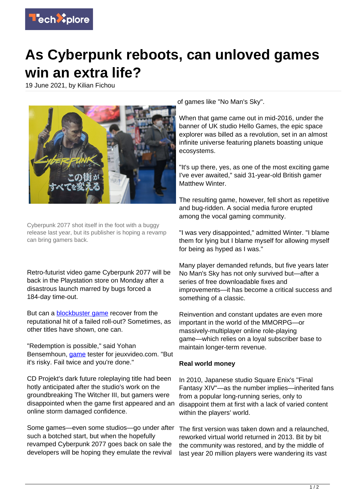

## **As Cyberpunk reboots, can unloved games win an extra life?**

19 June 2021, by Kilian Fichou



Cyberpunk 2077 shot itself in the foot with a buggy release last year, but its publisher is hoping a revamp can bring gamers back.

Retro-futurist video game Cyberpunk 2077 will be back in the Playstation store on Monday after a disastrous launch marred by bugs forced a 184-day time-out.

But can a **[blockbuster game](https://techxplore.com/tags/blockbuster+game/) recover from the** reputational hit of a failed roll-out? Sometimes, as other titles have shown, one can.

"Redemption is possible," said Yohan Bensemhoun, *game* tester for jeuxvideo.com. "But it's risky. Fail twice and you're done."

CD Projekt's dark future roleplaying title had been hotly anticipated after the studio's work on the groundbreaking The Witcher III, but gamers were disappointed when the game first appeared and an online storm damaged confidence.

Some games—even some studios—go under after such a botched start, but when the hopefully revamped Cyberpunk 2077 goes back on sale the developers will be hoping they emulate the revival

of games like "No Man's Sky".

When that game came out in mid-2016, under the banner of UK studio Hello Games, the epic space explorer was billed as a revolution, set in an almost infinite universe featuring planets boasting unique ecosystems.

"It's up there, yes, as one of the most exciting game I've ever awaited," said 31-year-old British gamer Matthew Winter.

The resulting game, however, fell short as repetitive and bug-ridden. A social media furore erupted among the vocal gaming community.

"I was very disappointed," admitted Winter. "I blame them for lying but I blame myself for allowing myself for being as hyped as I was."

Many player demanded refunds, but five years later No Man's Sky has not only survived but—after a series of free downloadable fixes and improvements—it has become a critical success and something of a classic.

Reinvention and constant updates are even more important in the world of the MMORPG—or massively-multiplayer online role-playing game—which relies on a loyal subscriber base to maintain longer-term revenue.

## **Real world money**

In 2010, Japanese studio Square Enix's "Final Fantasy XIV"—as the number implies—inherited fans from a popular long-running series, only to disappoint them at first with a lack of varied content within the players' world.

The first version was taken down and a relaunched, reworked virtual world returned in 2013. Bit by bit the community was restored, and by the middle of last year 20 million players were wandering its vast